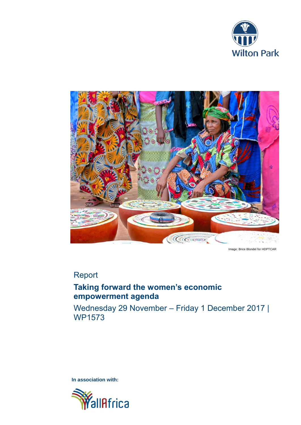



Image: Brice Blondel for HDPTCAR

# Report

# **Taking forward the women's economic empowerment agenda**

Wednesday 29 November – Friday 1 December 2017 | WP1573

**In association with:**

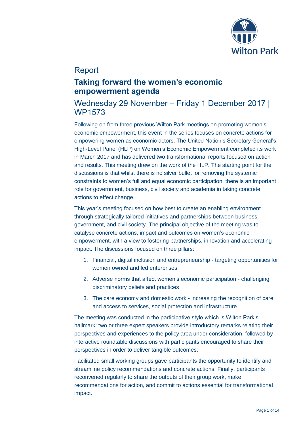

## Report

## **Taking forward the women's economic empowerment agenda**

## Wednesday 29 November – Friday 1 December 2017 | WP1573

Following on from three previous Wilton Park meetings on promoting women's economic empowerment, this event in the series focuses on concrete actions for empowering women as economic actors. The United Nation's Secretary General's High-Level Panel (HLP) on Women's Economic Empowerment completed its work in March 2017 and has delivered two transformational reports focused on action and results. This meeting drew on the work of the HLP. The starting point for the discussions is that whilst there is no silver bullet for removing the systemic constraints to women's full and equal economic participation, there is an important role for government, business, civil society and academia in taking concrete actions to effect change.

This year's meeting focused on how best to create an enabling environment through strategically tailored initiatives and partnerships between business, government, and civil society. The principal objective of the meeting was to catalyse concrete actions, impact and outcomes on women's economic empowerment, with a view to fostering partnerships, innovation and accelerating impact. The discussions focused on three pillars:

- 1. Financial, digital inclusion and entrepreneurship targeting opportunities for women owned and led enterprises
- 2. Adverse norms that affect women's economic participation challenging discriminatory beliefs and practices
- 3. The care economy and domestic work increasing the recognition of care and access to services, social protection and infrastructure.

The meeting was conducted in the participative style which is Wilton Park's hallmark: two or three expert speakers provide introductory remarks relating their perspectives and experiences to the policy area under consideration, followed by interactive roundtable discussions with participants encouraged to share their perspectives in order to deliver tangible outcomes.

Facilitated small working groups gave participants the opportunity to identify and streamline policy recommendations and concrete actions. Finally, participants reconvened regularly to share the outputs of their group work, make recommendations for action, and commit to actions essential for transformational impact.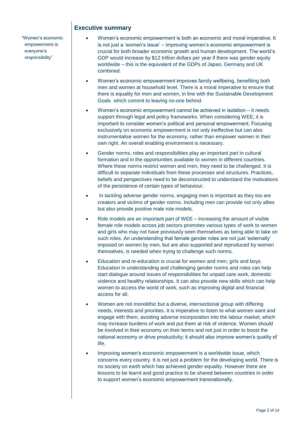"Women's economic empowerment is everyone's responsibility"

## **Executive summary**

- Women's economic empowerment is both an economic and moral imperative. It is not just a 'women's issue' – improving women's economic empowerment is crucial for both broader economic growth and human development. The world's GDP would increase by \$12 trillion dollars per year if there was gender equity worldwide – this is the equivalent of the GDPs of Japan, Germany and UK combined.
- Women's economic empowerment improves family wellbeing, benefiting both men and women at household level. There is a moral imperative to ensure that there is equality for men and women, in line with the Sustainable Development Goals which commit to leaving no-one behind.
- Women's economic empowerment cannot be achieved in isolation it needs support through legal and policy frameworks. When considering WEE, it is important to consider women's political and personal empowerment. Focusing exclusively on economic empowerment is not only ineffective but can also instrumentalise women for the economy, rather than empower women in their own right. An overall enabling environment is necessary.
- Gender norms, roles and responsibilities play an important part in cultural formation and in the opportunities available to women in different countries. Where these norms restrict women and men, they need to be challenged. It is difficult to separate individuals from these processes and structures. Practices, beliefs and perspectives need to be deconstructed to understand the motivations of the persistence of certain types of behaviour.
- In tackling adverse gender norms, engaging men is important as they too are creators and victims of gender norms. Including men can provide not only allies but also provide positive male role models.
- Role models are an important part of WEE increasing the amount of visible female role models across job sectors promotes various types of work to women and girls who may not have previously seen themselves as being able to take on such roles. An understanding that female gender roles are not just 'externally' imposed on women by men, but are also supported and reproduced by women themselves, is needed when trying to challenge such norms.
- Education and re-education is crucial for women and men, girls and boys. Education in understanding and challenging gender norms and roles can help start dialogue around issues of responsibilities for unpaid care work, domestic violence and healthy relationships. It can also provide new skills which can help women to access the world of work, such as improving digital and financial access for all.
- Women are not monolithic but a diverse, intersectional group with differing needs, interests and priorities. It is imperative to listen to what women want and engage with them, avoiding adverse incorporation into the labour market, which may increase burdens of work and put them at risk of violence. Women should be involved in their economy on their terms and not just in order to boost the national economy or drive productivity; it should also improve women's quality of life.
- Improving women's economic empowerment is a worldwide issue, which concerns every country. It is not just a problem for the developing world. There is no society on earth which has achieved gender equality. However there are lessons to be learnt and good practice to be shared between countries in order to support women's economic empowerment transnationally.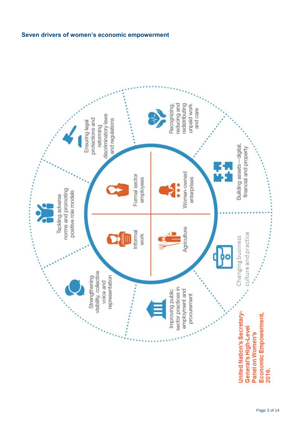

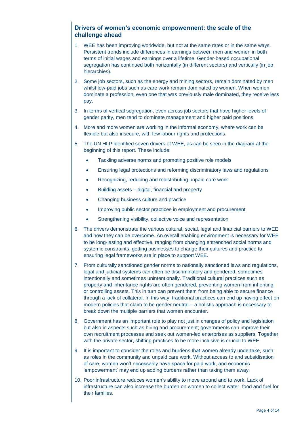## **Drivers of women's economic empowerment: the scale of the challenge ahead**

- 1. WEE has been improving worldwide, but not at the same rates or in the same ways. Persistent trends include differences in earnings between men and women in both terms of initial wages and earnings over a lifetime. Gender-based occupational segregation has continued both horizontally (in different sectors) and vertically (in job hierarchies).
- 2. Some job sectors, such as the energy and mining sectors, remain dominated by men whilst low-paid jobs such as care work remain dominated by women. When women dominate a profession, even one that was previously male dominated, they receive less pay.
- 3. In terms of vertical segregation, even across job sectors that have higher levels of gender parity, men tend to dominate management and higher paid positions.
- 4. More and more women are working in the informal economy, where work can be flexible but also insecure, with few labour rights and protections.
- 5. The UN HLP identified seven drivers of WEE, as can be seen in the diagram at the beginning of this report. These include:
	- Tackling adverse norms and promoting positive role models
	- Ensuring legal protections and reforming discriminatory laws and regulations
	- Recognizing, reducing and redistributing unpaid care work
	- Building assets digital, financial and property
	- Changing business culture and practice
	- Improving public sector practices in employment and procurement
	- Strengthening visibility, collective voice and representation
- 6. The drivers demonstrate the various cultural, social, legal and financial barriers to WEE and how they can be overcome. An overall enabling environment is necessary for WEE to be long-lasting and effective, ranging from changing entrenched social norms and systemic constraints, getting businesses to change their cultures and practice to ensuring legal frameworks are in place to support WEE.
- 7. From culturally sanctioned gender norms to nationally sanctioned laws and regulations, legal and judicial systems can often be discriminatory and gendered, sometimes intentionally and sometimes unintentionally. Traditional cultural practices such as property and inheritance rights are often gendered, preventing women from inheriting or controlling assets. This in turn can prevent them from being able to secure finance through a lack of collateral. In this way, traditional practices can end up having effect on modern policies that claim to be gender neutral – a holistic approach is necessary to break down the multiple barriers that women encounter.
- 8. Government has an important role to play not just in changes of policy and legislation but also in aspects such as hiring and procurement; governments can improve their own recruitment processes and seek out women-led enterprises as suppliers. Together with the private sector, shifting practices to be more inclusive is crucial to WEE.
- 9. It is important to consider the roles and burdens that women already undertake, such as roles in the community and unpaid care work. Without access to and subsidisation of care, women won't necessarily have space for paid work, and economic 'empowerment' may end up adding burdens rather than taking them away.
- 10. Poor infrastructure reduces women's ability to move around and to work. Lack of infrastructure can also increase the burden on women to collect water, food and fuel for their families.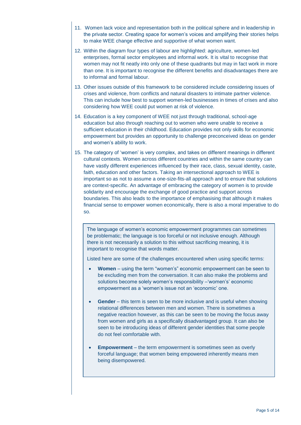- 11. Women lack voice and representation both in the political sphere and in leadership in the private sector. Creating space for women's voices and amplifying their stories helps to make WEE change effective and supportive of what women want.
- 12. Within the diagram four types of labour are highlighted: agriculture, women-led enterprises, formal sector employees and informal work. It is vital to recognise that women may not fit neatly into only one of these quadrants but may in fact work in more than one. It is important to recognise the different benefits and disadvantages there are to informal and formal labour.
- 13. Other issues outside of this framework to be considered include considering issues of crises and violence, from conflicts and natural disasters to intimate partner violence. This can include how best to support women-led businesses in times of crises and also considering how WEE could put women at risk of violence.
- 14. Education is a key component of WEE not just through traditional, school-age education but also through reaching out to women who were unable to receive a sufficient education in their childhood. Education provides not only skills for economic empowerment but provides an opportunity to challenge preconceived ideas on gender and women's ability to work.
- 15. The category of 'women' is very complex, and takes on different meanings in different cultural contexts. Women across different countries and within the same country can have vastly different experiences influenced by their race, class, sexual identity, caste, faith, education and other factors. Taking an intersectional approach to WEE is important so as not to assume a one-size-fits-all approach and to ensure that solutions are context-specific. An advantage of embracing the category of women is to provide solidarity and encourage the exchange of good practice and support across boundaries. This also leads to the importance of emphasising that although it makes financial sense to empower women economically, there is also a moral imperative to do so.

The language of women's economic empowerment programmes can sometimes be problematic; the language is too forceful or not inclusive enough. Although there is not necessarily a solution to this without sacrificing meaning, it is important to recognise that words matter.

Listed here are some of the challenges encountered when using specific terms:

- **Women**  using the term "women's" economic empowerment can be seen to be excluding men from the conversation. It can also make the problems and solutions become solely women's responsibility –'women's' economic empowerment as a 'women's issue not an 'economic' one.
- **Gender** this term is seen to be more inclusive and is useful when showing relational differences between men and women. There is sometimes a negative reaction however, as this can be seen to be moving the focus away from women and girls as a specifically disadvantaged group. It can also be seen to be introducing ideas of different gender identities that some people do not feel comfortable with.
- **Empowerment** the term empowerment is sometimes seen as overly forceful language; that women being empowered inherently means men being disempowered.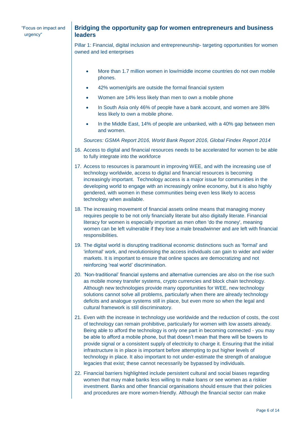### **Bridging the opportunity gap for women entrepreneurs and business leaders**

Pillar 1: Financial, digital inclusion and entrepreneurship- targeting opportunities for women owned and led enterprises

- More than 1.7 million women in low/middle income countries do not own mobile phones.
- 42% women/girls are outside the formal financial system
- Women are 14% less likely than men to own a mobile phone
- In South Asia only 46% of people have a bank account, and women are 38% less likely to own a mobile phone.
- In the Middle East, 14% of people are unbanked, with a 40% gap between men and women.

*Sources: GSMA Report 2016, World Bank Report 2016, Global Findex Report 2014*

- 16. Access to digital and financial resources needs to be accelerated for women to be able to fully integrate into the workforce
- 17. Access to resources is paramount in improving WEE, and with the increasing use of technology worldwide, access to digital and financial resources is becoming increasingly important. Technology access is a major issue for communities in the developing world to engage with an increasingly online economy, but it is also highly gendered, with women in these communities being even less likely to access technology when available.
- 18. The increasing movement of financial assets online means that managing money requires people to be not only financially literate but also digitally literate. Financial literacy for women is especially important as men often 'do the money', meaning women can be left vulnerable if they lose a male breadwinner and are left with financial responsibilities.
- 19. The digital world is disrupting traditional economic distinctions such as 'formal' and 'informal' work, and revolutionising the access individuals can gain to wider and wider markets. It is important to ensure that online spaces are democratizing and not reinforcing 'real world' discrimination.
- 20. 'Non-traditional' financial systems and alternative currencies are also on the rise such as mobile money transfer systems, crypto currencies and block chain technology. Although new technologies provide many opportunities for WEE, new technology solutions cannot solve all problems, particularly when there are already technology deficits and analogue systems still in place, but even more so when the legal and cultural framework is still discriminatory.
- 21. Even with the increase in technology use worldwide and the reduction of costs, the cost of technology can remain prohibitive, particularly for women with low assets already. Being able to afford the technology is only one part in becoming connected - you may be able to afford a mobile phone, but that doesn't mean that there will be towers to provide signal or a consistent supply of electricity to charge it. Ensuring that the initial infrastructure is in place is important before attempting to put higher levels of technology in place. It also important to not under-estimate the strength of analogue legacies that exist; these cannot necessarily be bypassed by individuals.
- 22. Financial barriers highlighted include persistent cultural and social biases regarding women that may make banks less willing to make loans or see women as a riskier investment. Banks and other financial organisations should ensure that their policies and procedures are more women-friendly. Although the financial sector can make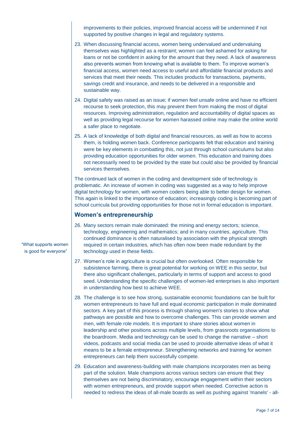improvements to their policies, improved financial access will be undermined if not supported by positive changes in legal and regulatory systems.

- 23. When discussing financial access, women being undervalued and undervaluing themselves was highlighted as a restraint; women can feel ashamed for asking for loans or not be confident in asking for the amount that they need. A lack of awareness also prevents women from knowing what is available to them. To improve women's financial access, women need access to useful and affordable financial products and services that meet their needs. This includes products for transactions, payments, savings credit and insurance, and needs to be delivered in a responsible and sustainable way.
- 24. Digital safety was raised as an issue; if women feel unsafe online and have no efficient recourse to seek protection, this may prevent them from making the most of digital resources. Improving administration, regulation and accountability of digital spaces as well as providing legal recourse for women harassed online may make the online world a safer place to negotiate.
- 25. A lack of knowledge of both digital and financial resources, as well as how to access them, is holding women back. Conference participants felt that education and training were be key elements in combatting this, not just through school curriculums but also providing education opportunities for older women. This education and training does not necessarily need to be provided by the state but could also be provided by financial services themselves.

The continued lack of women in the coding and development side of technology is problematic. An increase of women in coding was suggested as a way to help improve digital technology for women, with women coders being able to better design for women. This again is linked to the importance of education; increasingly coding is becoming part of school curricula but providing opportunities for those not in formal education is important.

#### **Women's entrepreneurship**

- 26. Many sectors remain male dominated: the mining and energy sectors; science, technology, engineering and mathematics; and in many countries, agriculture. This continued dominance is often naturalised by association with the physical strength required in certain industries, which has often now been made redundant by the technology used in these fields.
- 27. Women's role in agriculture is crucial but often overlooked. Often responsible for subsistence farming, there is great potential for working on WEE in this sector, but there also significant challenges, particularly in terms of support and access to good seed. Understanding the specific challenges of women-led enterprises is also important in understanding how best to achieve WEE.
- 28. The challenge is to see how strong, sustainable economic foundations can be built for women entrepreneurs to have full and equal economic participation in male dominated sectors. A key part of this process is through sharing women's stories to show what pathways are possible and how to overcome challenges. This can provide women and men, with female role models. It is important to share stories about women in leadership and other positions across multiple levels, from grassroots organisations to the boardroom. Media and technology can be used to change the narrative – short videos, podcasts and social media can be used to provide alternative ideas of what it means to be a female entrepreneur. Strengthening networks and training for women entrepreneurs can help them successfully compete.
- 29. Education and awareness-building with male champions incorporates men as being part of the solution. Male champions across various sectors can ensure that they themselves are not being discriminatory, encourage engagement within their sectors with women entrepreneurs, and provide support when needed. Corrective action is needed to redress the ideas of all-male boards as well as pushing against 'manels' - all-

"What supports women is good for everyone"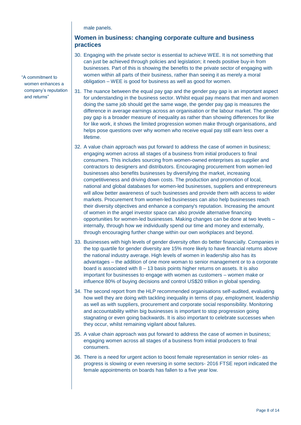male panels.

### **Women in business: changing corporate culture and business practices**

- 30. Engaging with the private sector is essential to achieve WEE. It is not something that can just be achieved through policies and legislation; it needs positive buy-in from businesses. Part of this is showing the benefits to the private sector of engaging with women within all parts of their business, rather than seeing it as merely a moral obligation – WEE is good for business as well as good for women.
- 31. The nuance between the equal pay gap and the gender pay gap is an important aspect for understanding in the business sector. Whilst equal pay means that men and women doing the same job should get the same wage, the gender pay gap is measures the difference in average earnings across an organisation or the labour market. The gender pay gap is a broader measure of inequality as rather than showing differences for like for like work, it shows the limited progression women make through organisations, and helps pose questions over why women who receive equal pay still earn less over a lifetime.
- 32. A value chain approach was put forward to address the case of women in business; engaging women across all stages of a business from initial producers to final consumers. This includes sourcing from women-owned enterprises as supplier and contractors to designers and distributors. Encouraging procurement from women-led businesses also benefits businesses by diversifying the market, increasing competitiveness and driving down costs. The production and promotion of local, national and global databases for women-led businesses, suppliers and entrepreneurs will allow better awareness of such businesses and provide them with access to wider markets. Procurement from women-led businesses can also help businesses reach their diversity objectives and enhance a company's reputation. Increasing the amount of women in the angel investor space can also provide alternative financing opportunities for women-led businesses. Making changes can be done at two levels – internally, through how we individually spend our time and money and externally, through encouraging further change within our own workplaces and beyond.
- 33. Businesses with high levels of gender diversity often do better financially. Companies in the top quartile for gender diversity are 15% more likely to have financial returns above the national industry average. High levels of women in leadership also has its advantages – the addition of one more woman to senior management or to a corporate board is associated with 8 – 13 basis points higher returns on assets. It is also important for businesses to engage with women as customers – women make or influence 80% of buying decisions and control US\$20 trillion in global spending.
- 34. The second report from the HLP recommended organisations self-audited, evaluating how well they are doing with tackling inequality in terms of pay, employment, leadership as well as with suppliers, procurement and corporate social responsibility. Monitoring and accountability within big businesses is important to stop progression going stagnating or even going backwards. It is also important to celebrate successes when they occur, whilst remaining vigilant about failures.
- 35. A value chain approach was put forward to address the case of women in business; engaging women across all stages of a business from initial producers to final consumers.
- 36. There is a need for urgent action to boost female representation in senior roles- as progress is slowing or even reversing in some sectors- 2016 FTSE report indicated the female appointments on boards has fallen to a five year low.

"A commitment to women enhances a company's reputation and returns"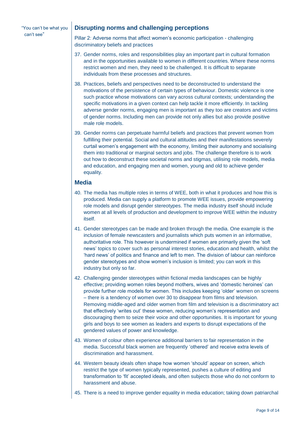#### "You can't be what you can't see"

#### **Disrupting norms and challenging perceptions**

Pillar 2: Adverse norms that affect women's economic participation - challenging discriminatory beliefs and practices

- 37. Gender norms, roles and responsibilities play an important part in cultural formation and in the opportunities available to women in different countries. Where these norms restrict women and men, they need to be challenged. It is difficult to separate individuals from these processes and structures.
- 38. Practices, beliefs and perspectives need to be deconstructed to understand the motivations of the persistence of certain types of behaviour. Domestic violence is one such practice whose motivations can vary across cultural contexts; understanding the specific motivations in a given context can help tackle it more efficiently. In tackling adverse gender norms, engaging men is important as they too are creators and victims of gender norms. Including men can provide not only allies but also provide positive male role models.
- 39. Gender norms can perpetuate harmful beliefs and practices that prevent women from fulfilling their potential. Social and cultural attitudes and their manifestations severely curtail women's engagement with the economy, limiting their autonomy and socialising them into traditional or marginal sectors and jobs. The challenge therefore is to work out how to deconstruct these societal norms and stigmas, utilising role models, media and education, and engaging men and women, young and old to achieve gender equality.

#### **Media**

- 40. The media has multiple roles in terms of WEE, both in what it produces and how this is produced. Media can supply a platform to promote WEE issues, provide empowering role models and disrupt gender stereotypes. The media industry itself should include women at all levels of production and development to improve WEE within the industry itself.
- 41. Gender stereotypes can be made and broken through the media. One example is the inclusion of female newscasters and journalists which puts women in an informative, authoritative role. This however is undermined if women are primarily given the 'soft news' topics to cover such as personal interest stories, education and health, whilst the 'hard news' of politics and finance and left to men. The division of labour can reinforce gender stereotypes and show women's inclusion is limited; you can work in this industry but only so far.
- 42. Challenging gender stereotypes within fictional media landscapes can be highly effective; providing women roles beyond mothers, wives and 'domestic heroines' can provide further role models for women. This includes keeping 'older' women on screens – there is a tendency of women over 30 to disappear from films and television. Removing middle-aged and older women from film and television is a discriminatory act that effectively 'writes out' these women, reducing women's representation and discouraging them to seize their voice and other opportunities. It is important for young girls and boys to see women as leaders and experts to disrupt expectations of the gendered values of power and knowledge.
- 43. Women of colour often experience additional barriers to fair representation in the media. Successful black women are frequently 'othered' and receive extra levels of discrimination and harassment.
- 44. Western beauty ideals often shape how women 'should' appear on screen, which restrict the type of women typically represented, pushes a culture of editing and transformation to 'fit' accepted ideals, and often subjects those who do not conform to harassment and abuse.
- 45. There is a need to improve gender equality in media education; taking down patriarchal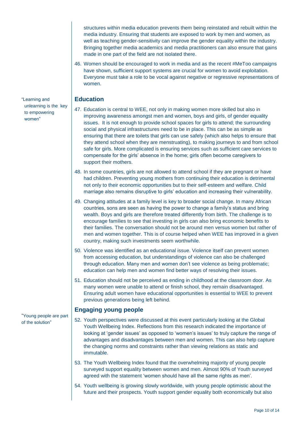structures within media education prevents them being reinstated and rebuilt within the media industry. Ensuring that students are exposed to work by men and women, as well as teaching gender-sensitivity can improve the gender equality within the industry. Bringing together media academics and media practitioners can also ensure that gains made in one part of the field are not isolated there.

46. Women should be encouraged to work in media and as the recent #MeToo campaigns have shown, sufficient support systems are crucial for women to avoid exploitation. Everyone must take a role to be vocal against negative or regressive representations of women.

#### **Education**

- 47. Education is central to WEE, not only in making women more skilled but also in improving awareness amongst men and women, boys and girls, of gender equality issues. It is not enough to provide school spaces for girls to attend; the surrounding social and physical infrastructures need to be in place. This can be as simple as ensuring that there are toilets that girls can use safely (which also helps to ensure that they attend school when they are menstruating), to making journeys to and from school safe for girls. More complicated is ensuring services such as sufficient care services to compensate for the girls' absence in the home; girls often become caregivers to support their mothers.
- 48. In some countries, girls are not allowed to attend school if they are pregnant or have had children. Preventing young mothers from continuing their education is detrimental not only to their economic opportunities but to their self-esteem and welfare. Child marriage also remains disruptive to girls' education and increasing their vulnerability.
- 49. Changing attitudes at a family level is key to broader social change. In many African countries, sons are seen as having the power to change a family's status and bring wealth. Boys and girls are therefore treated differently from birth. The challenge is to encourage families to see that investing in girls can also bring economic benefits to their families. The conversation should not be around men versus women but rather of men and women together. This is of course helped when WEE has improved in a given country, making such investments seem worthwhile.
- 50. Violence was identified as an educational issue. Violence itself can prevent women from accessing education, but understandings of violence can also be challenged through education. Many men and women don't see violence as being problematic; education can help men and women find better ways of resolving their issues.
- 51. Education should not be perceived as ending in childhood at the classroom door. As many women were unable to attend or finish school, they remain disadvantaged. Ensuring adult women have educational opportunities is essential to WEE to prevent previous generations being left behind.

#### **Engaging young people**

- 52. Youth perspectives were discussed at this event particularly looking at the Global Youth Wellbeing Index. Reflections from this research indicated the importance of looking at 'gender issues' as opposed to 'women's issues' to truly capture the range of advantages and disadvantages between men and women. This can also help capture the changing norms and constraints rather than viewing relations as static and immutable.
- 53. The Youth Wellbeing Index found that the overwhelming majority of young people surveyed support equality between women and men. Almost 90% of Youth surveyed agreed with the statement 'women should have all the same rights as men'.
- 54. Youth wellbeing is growing slowly worldwide, with young people optimistic about the future and their prospects. Youth support gender equality both economically but also

"Learning and unlearning is the key to empowering women"

"Young people are part of the solution"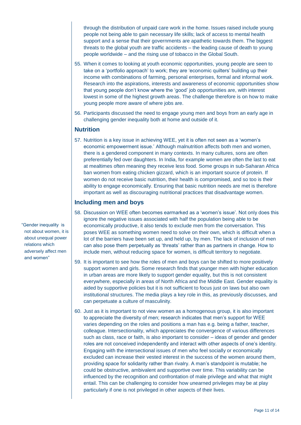through the distribution of unpaid care work in the home. Issues raised include young people not being able to gain necessary life skills; lack of access to mental health support and a sense that their governments are apathetic towards them. The biggest threats to the global youth are traffic accidents – the leading cause of death to young people worldwide – and the rising use of tobacco in the Global South.

- 55. When it comes to looking at youth economic opportunities, young people are seen to take on a 'portfolio approach' to work; they are 'economic quilters' building up their income with combinations of farming, personal enterprises, formal and informal work. Research into the aspirations, interests and awareness of economic opportunities show that young people don't know where the 'good' job opportunities are, with interest lowest in some of the highest growth areas. The challenge therefore is on how to make young people more aware of where jobs are.
- 56. Participants discussed the need to engage young men and boys from an early age in challenging gender inequality both at home and outside of it.

### **Nutrition**

57. Nutrition is a key issue in achieving WEE, yet it is often not seen as a 'women's economic empowerment issue.' Although malnutrition affects both men and women, there is a gendered component in many contexts. In many cultures, sons are often preferentially fed over daughters. In India, for example women are often the last to eat at mealtimes often meaning they receive less food. Some groups in sub-Saharan Africa ban women from eating chicken gizzard, which is an important source of protein. If women do not receive basic nutrition, their health is compromised, and so too is their ability to engage economically. Ensuring that basic nutrition needs are met is therefore important as well as discouraging nutritional practices that disadvantage women.

#### **Including men and boys**

- 58. Discussion on WEE often becomes earmarked as a 'women's issue'. Not only does this ignore the negative issues associated with half the population being able to be economically productive, it also tends to exclude men from the conversation. This poses WEE as something women need to solve on their own, which is difficult when a lot of the barriers have been set up, and held up, by men. The lack of inclusion of men can also pose them perpetually as 'threats' rather than as partners in change. How to include men, without reducing space for women, is difficult territory to negotiate.
- 59. It is important to see how the roles of men and boys can be shifted to more positively support women and girls. Some research finds that younger men with higher education in urban areas are more likely to support gender equality, but this is not consistent everywhere, especially in areas of North Africa and the Middle East. Gender equality is aided by supportive policies but it is not sufficient to focus just on laws but also own institutional structures. The media plays a key role in this, as previously discusses, and can perpetuate a culture of masculinity.
- 60. Just as it is important to not view women as a homogenous group, it is also important to appreciate the diversity of men; research indicates that men's support for WEE varies depending on the roles and positions a man has e.g. being a father, teacher, colleague. Intersectionality, which appreciates the convergence of various differences such as class, race or faith, is also important to consider – ideas of gender and gender roles are not conceived independently and interact with other aspects of one's identity. Engaging with the intersectional issues of men who feel socially or economically excluded can increase their vested interest in the success of the women around them, providing space for solidarity rather than rivalry. A man's standpoint is mutable; he could be obstructive, ambivalent and supportive over time. This variability can be influenced by the recognition and confrontation of male privilege and what that might entail. This can be challenging to consider how unearned privileges may be at play particularly if one is not privileged in other aspects of their lives.

"Gender inequality is not about women, it is about unequal power relations which adversely affect men and women"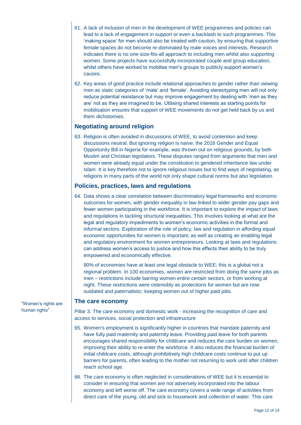- 61. A lack of inclusion of men in the development of WEE programmes and policies can lead to a lack of engagement in support or even a backlash to such programmes. This 'making space' for men should also be treated with caution, by ensuring that supportive female spaces do not become re-dominated by male voices and interests. Research indicates there is no one-size-fits-all approach to including men whilst also supporting women. Some projects have successfully incorporated couple and group education, whilst others have worked to mobilise men's groups to publicly support women's causes.
- 62. Key areas of good practice include relational approaches to gender rather than viewing men as static categories of 'male' and 'female'. Avoiding stereotyping men will not only reduce potential resistance but may improve engagement by dealing with 'men as they are' not as they are imagined to be. Utilising shared interests as starting points for mobilisation ensures that support of WEE movements do not get held back by us and them dichotomies.

### **Negotiating around religion**

63. Religion is often avoided in discussions of WEE, to avoid contention and keep discussions neutral. But ignoring religion is naïve; the 2016 Gender and Equal Opportunity Bill in Nigeria for example, was thrown out on religious grounds, by both Muslim and Christian legislators. These disputes ranged from arguments that men and women were already equal under the constitution to gendered inheritance law under Islam. It is key therefore not to ignore religious issues but to find ways of negotiating, as religions in many parts of the world not only shape cultural norms but also legislation.

### **Policies, practices, laws and regulations**

64. Data shows a clear correlation between discriminatory legal frameworks and economic outcomes for women, with gender inequality in law linked to wider gender pay gaps and fewer women participating in the workforce. It is important to explore the impact of laws and regulations in tackling structural inequalities. This involves looking at what are the legal and regulatory impediments to women's economic activities in the formal and informal sectors. Exploration of the role of policy, law and regulation in affording equal economic opportunities for women is important, as well as creating an enabling legal and regulatory environment for women entrepreneurs. Looking at laws and regulations can address women's access to justice and how this effects their ability to be truly empowered and economically effective.

90% of economies have at least one legal obstacle to WEE; this is a global not a regional problem. In 100 economies, women are restricted from doing the same jobs as men – restrictions include barring women entire certain sectors, or from working at night. These restrictions were ostensibly as protections for women but are now outdated and paternalistic; keeping women out of higher paid jobs.

#### **The care economy**

Pillar 3: The care economy and domestic work - increasing the recognition of care and access to services, social protection and infrastructure

- 65. Women's employment is significantly higher in countries that mandate paternity and have fully paid maternity and paternity leave. Providing paid leave for both parents encourages shared responsibility for childcare and reduces the care burden on women, improving their ability to re-enter the workforce. It also reduces the financial burden of initial childcare costs, although prohibitively high childcare costs continue to put up barriers for parents, often leading to the mother not returning to work until after children reach school age.
- 66. The care economy is often neglected in considerations of WEE but it is essential to consider in ensuring that women are not adversely incorporated into the labour economy and left worse off. The care economy covers a wide range of activities from direct care of the young, old and sick to housework and collection of water. This care

"Women's rights are human rights"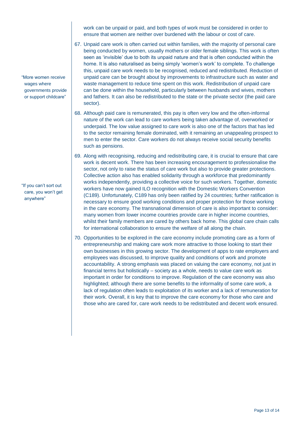work can be unpaid or paid, and both types of work must be considered in order to ensure that women are neither over burdened with the labour or cost of care.

- 67. Unpaid care work is often carried out within families, with the majority of personal care being conducted by women, usually mothers or older female siblings. This work is often seen as 'invisible' due to both its unpaid nature and that is often conducted within the home. It is also naturalised as being simply 'women's work' to complete. To challenge this, unpaid care work needs to be recognised, reduced and redistributed. Reduction of unpaid care can be brought about by improvements to infrastructure such as water and waste management to reduce time spent on this work. Redistribution of unpaid care can be done within the household, particularly between husbands and wives, mothers and fathers. It can also be redistributed to the state or the private sector (the paid care sector).
- 68. Although paid care is remunerated, this pay is often very low and the often-informal nature of the work can lead to care workers being taken advantage of, overworked or underpaid. The low value assigned to care work is also one of the factors that has led to the sector remaining female dominated, with it remaining an unappealing prospect to men to enter the sector. Care workers do not always receive social security benefits such as pensions.
- 69. Along with recognising, reducing and redistributing care, it is crucial to ensure that care work is decent work. There has been increasing encouragement to professionalise the sector, not only to raise the status of care work but also to provide greater protections. Collective action also has enabled solidarity through a workforce that predominantly works independently, providing a collective voice for such workers. Together, domestic workers have now gained ILO recognition with the Domestic Workers Convention (C189). Unfortunately, C189 has only been ratified by 24 countries; further ratification is necessary to ensure good working conditions and proper protection for those working in the care economy. The transnational dimension of care is also important to consider: many women from lower income countries provide care in higher income countries, whilst their family members are cared by others back home. This global care chain calls for international collaboration to ensure the welfare of all along the chain.
- 70. Opportunities to be explored in the care economy include promoting care as a form of entrepreneurship and making care work more attractive to those looking to start their own businesses in this growing sector. The development of apps to rate employers and employees was discussed, to improve quality and conditions of work and promote accountability. A strong emphasis was placed on valuing the care economy, not just in financial terms but holistically – society as a whole, needs to value care work as important in order for conditions to improve. Regulation of the care economy was also highlighted; although there are some benefits to the informality of some care work, a lack of regulation often leads to exploitation of its worker and a lack of remuneration for their work. Overall, it is key that to improve the care economy for those who care and those who are cared for, care work needs to be redistributed and decent work ensured.

"More women receive wages where governments provide or support childcare"

"If you can't sort out care, you won't get anywhere"